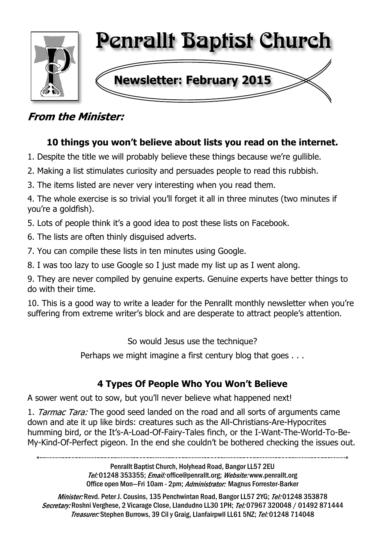

## **From the Minister:**

## **10 things you won't believe about lists you read on the internet.**

- 1. Despite the title we will probably believe these things because we're gullible.
- 2. Making a list stimulates curiosity and persuades people to read this rubbish.
- 3. The items listed are never very interesting when you read them.

4. The whole exercise is so trivial you'll forget it all in three minutes (two minutes if you're a goldfish).

5. Lots of people think it's a good idea to post these lists on Facebook.

- 6. The lists are often thinly disguised adverts.
- 7. You can compile these lists in ten minutes using Google.
- 8. I was too lazy to use Google so I just made my list up as I went along.

9. They are never compiled by genuine experts. Genuine experts have better things to do with their time.

10. This is a good way to write a leader for the Penrallt monthly newsletter when you're suffering from extreme writer's block and are desperate to attract people's attention.

So would Jesus use the technique?

Perhaps we might imagine a first century blog that goes . . .

## **4 Types Of People Who You Won't Believe**

A sower went out to sow, but you'll never believe what happened next!

1. Tarmac Tara: The good seed landed on the road and all sorts of arguments came down and ate it up like birds: creatures such as the All-Christians-Are-Hypocrites humming bird, or the It's-A-Load-Of-Fairy-Tales finch, or the I-Want-The-World-To-Be-My-Kind-Of-Perfect pigeon. In the end she couldn't be bothered checking the issues out.

Penrallt Baptist Church, Holyhead Road, Bangor LL57 2EU Tel:01248 353355; Email: office@penrallt.org; Website: www.penrallt.org Office open Mon-Fri 10am - 2pm; Administrator: Magnus Forrester-Barker

Minister: Revd. Peter J. Cousins, 135 Penchwintan Road, Bangor LL57 2YG; Tel: 01248 353878 Secretary: Roshni Verghese, 2 Vicarage Close, Llandudno LL30 1PH; Tel: 07967 320048 / 01492 871444 Treasurer: Stephen Burrows, 39 Cil y Graig, Llanfairpwll LL61 5NZ; Tel: 01248 714048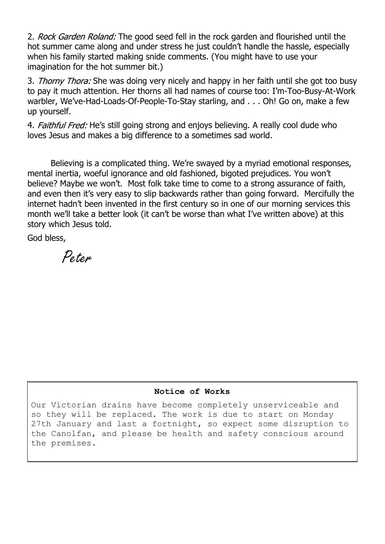2. Rock Garden Roland: The good seed fell in the rock garden and flourished until the hot summer came along and under stress he just couldn't handle the hassle, especially when his family started making snide comments. (You might have to use your imagination for the hot summer bit.)

3. Thorny Thora: She was doing very nicely and happy in her faith until she got too busy to pay it much attention. Her thorns all had names of course too: I'm-Too-Busy-At-Work warbler, We've-Had-Loads-Of-People-To-Stay starling, and . . . Oh! Go on, make a few up yourself.

4. Faithful Fred: He's still going strong and enjoys believing. A really cool dude who loves Jesus and makes a big difference to a sometimes sad world.

Believing is a complicated thing. We're swayed by a myriad emotional responses, mental inertia, woeful ignorance and old fashioned, bigoted prejudices. You won't believe? Maybe we won't. Most folk take time to come to a strong assurance of faith, and even then it's very easy to slip backwards rather than going forward. Mercifully the internet hadn't been invented in the first century so in one of our morning services this month we'll take a better look (it can't be worse than what I've written above) at this story which Jesus told.

God bless,

Peter

#### **Notice of Works**

Our Victorian drains have become completely unserviceable and so they will be replaced. The work is due to start on Monday 27th January and last a fortnight, so expect some disruption to the Canolfan, and please be health and safety conscious around the premises.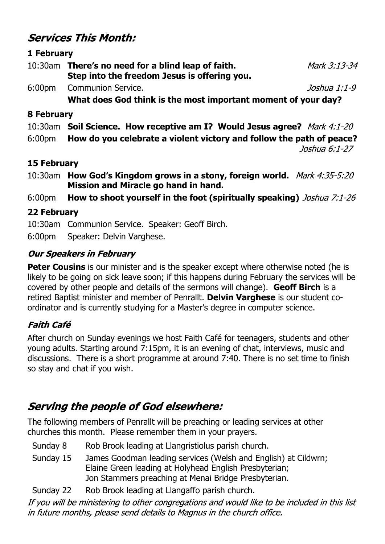## **Services This Month:**

#### **1 February**

| 10:30am | There's no need for a blind leap of faith.   | Mark 3:13-34 |  |
|---------|----------------------------------------------|--------------|--|
|         | Step into the freedom Jesus is offering you. |              |  |
|         | 6:00pm Communion Service.                    | Joshua 1:1-9 |  |

 **What does God think is the most important moment of your day?**

#### **8 February**

10:30am **Soil Science. How receptive am I? Would Jesus agree?**

6:00pm **How do you celebrate a violent victory and follow the path of peace?**

Joshua 6:1-27

#### **15 February**

10:30am **How God's Kingdom grows in a stony, foreign world. Mission and Miracle go hand in hand.**

6:00pm **How to shoot yourself in the foot (spiritually speaking)**

### **22 February**

10:30am Communion Service. Speaker: Geoff Birch.

6:00pm Speaker: Delvin Varghese.

### **Our Speakers in February**

**Peter Cousins** is our minister and is the speaker except where otherwise noted (he is likely to be going on sick leave soon; if this happens during February the services will be covered by other people and details of the sermons will change). **Geoff Birch** is a retired Baptist minister and member of Penrallt. **Delvin Varghese** is our student coordinator and is currently studying for a Master's degree in computer science.

### **Faith Café**

After church on Sunday evenings we host Faith Café for teenagers, students and other young adults. Starting around 7:15pm, it is an evening of chat, interviews, music and discussions. There is a short programme at around 7:40. There is no set time to finish so stay and chat if you wish.

## **Serving the people of God elsewhere:**

The following members of Penrallt will be preaching or leading services at other churches this month. Please remember them in your prayers.

- Sunday 8 Rob Brook leading at Llangristiolus parish church.
- Sunday 15 James Goodman leading services (Welsh and English) at Cildwrn; Elaine Green leading at Holyhead English Presbyterian; Jon Stammers preaching at Menai Bridge Presbyterian.
- Sunday 22 Rob Brook leading at Llangaffo parish church.

If you will be ministering to other congregations and would like to be included in this list in future months, please send details to Magnus in the church office.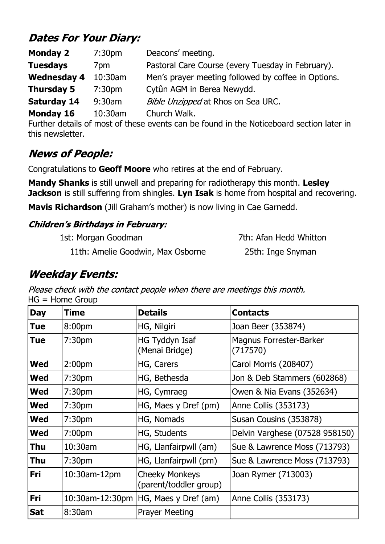## **Dates For Your Diary:**

| <b>Monday 2</b>    | 7:30 <sub>pm</sub> | Deacons' meeting.                                   |
|--------------------|--------------------|-----------------------------------------------------|
| <b>Tuesdays</b>    | 7 <sub>pm</sub>    | Pastoral Care Course (every Tuesday in February).   |
| <b>Wednesday 4</b> | 10:30am            | Men's prayer meeting followed by coffee in Options. |
| <b>Thursday 5</b>  | 7:30 <sub>pm</sub> | Cytûn AGM in Berea Newydd.                          |
| <b>Saturday 14</b> | $9:30$ am          | Bible Unzipped at Rhos on Sea URC.                  |
| Monday 16          | 10:30am            | Church Walk.                                        |

Further details of most of these events can be found in the Noticeboard section later in this newsletter.

## **News of People:**

Congratulations to **Geoff Moore** who retires at the end of February.

**Mandy Shanks** is still unwell and preparing for radiotherapy this month. **Lesley Jackson** is still suffering from shingles. **Lyn Isak** is home from hospital and recovering.

**Mavis Richardson** (Jill Graham's mother) is now living in Cae Garnedd.

### **Children's Birthdays in February:**

1st: Morgan Goodman 7th: Afan Hedd Whitton

11th: Amelie Goodwin, Max Osborne 25th: Inge Snyman

## **Weekday Events:**

Please check with the contact people when there are meetings this month. HG = Home Group

| <b>Day</b> | Time               | <b>Details</b>                                  | <b>Contacts</b>                     |
|------------|--------------------|-------------------------------------------------|-------------------------------------|
| Tue        | 8:00pm             | HG, Nilgiri                                     | Joan Beer (353874)                  |
| Tue        | 7:30 <sub>pm</sub> | HG Tyddyn Isaf<br>(Menai Bridge)                | Magnus Forrester-Barker<br>(717570) |
| <b>Wed</b> | 2:00 <sub>pm</sub> | HG, Carers                                      | Carol Morris (208407)               |
| Wed        | 7:30 <sub>pm</sub> | HG, Bethesda                                    | Jon & Deb Stammers (602868)         |
| <b>Wed</b> | 7:30 <sub>pm</sub> | HG, Cymraeg                                     | Owen & Nia Evans (352634)           |
| <b>Wed</b> | 7:30 <sub>pm</sub> | HG, Maes y Dref (pm)                            | Anne Collis (353173)                |
| <b>Wed</b> | 7:30 <sub>pm</sub> | HG, Nomads                                      | Susan Cousins (353878)              |
| <b>Wed</b> | 7:00 <sub>pm</sub> | HG, Students                                    | Delvin Varghese (07528 958150)      |
| Thu        | $10:30$ am         | HG, Llanfairpwll (am)                           | Sue & Lawrence Moss (713793)        |
| <b>Thu</b> | 7:30 <sub>pm</sub> | HG, Llanfairpwll (pm)                           | Sue & Lawrence Moss (713793)        |
| Fri        | 10:30am-12pm       | <b>Cheeky Monkeys</b><br>(parent/toddler group) | Joan Rymer (713003)                 |
| Fri        |                    | 10:30am-12:30pm   HG, Maes y Dref (am)          | Anne Collis (353173)                |
| <b>Sat</b> | 8:30am             | <b>Prayer Meeting</b>                           |                                     |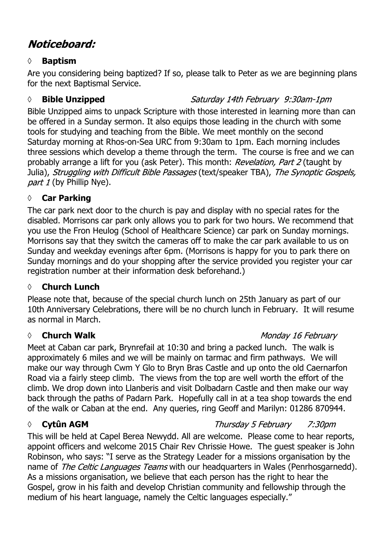## Noticeboard:

#### **◊ Baptism**

Are you considering being baptized? If so, please talk to Peter as we are beginning plans for the next Baptismal Service.

#### *◊* **Bible Unzipped**

### Saturday 14th February 9:30am-1pm

Bible Unzipped aims to unpack Scripture with those interested in learning more than can be offered in a Sunday sermon. It also equips those leading in the church with some tools for studying and teaching from the Bible. We meet monthly on the second Saturday morning at Rhos-on-Sea URC from 9:30am to 1pm. Each morning includes three sessions which develop a theme through the term. The course is free and we can probably arrange a lift for you (ask Peter). This month: Revelation, Part 2 (taught by Julia), Struggling with Difficult Bible Passages (text/speaker TBA), The Synoptic Gospels, part  $1$  (by Phillip Nye).

### **◊ Car Parking**

The car park next door to the church is pay and display with no special rates for the disabled. Morrisons car park only allows you to park for two hours. We recommend that you use the Fron Heulog (School of Healthcare Science) car park on Sunday mornings. Morrisons say that they switch the cameras off to make the car park available to us on Sunday and weekday evenings after 6pm. (Morrisons is happy for you to park there on Sunday mornings and do your shopping after the service provided you register your car registration number at their information desk beforehand.)

### **◊ Church Lunch**

Please note that, because of the special church lunch on 25th January as part of our 10th Anniversary Celebrations, there will be no church lunch in February. It will resume as normal in March.

### *◊* **Church Walk**

Meet at Caban car park, Brynrefail at 10:30 and bring a packed lunch. The walk is approximately 6 miles and we will be mainly on tarmac and firm pathways. We will make our way through Cwm Y Glo to Bryn Bras Castle and up onto the old Caernarfon Road via a fairly steep climb. The views from the top are well worth the effort of the climb. We drop down into Llanberis and visit Dolbadarn Castle and then make our way back through the paths of Padarn Park. Hopefully call in at a tea shop towards the end of the walk or Caban at the end. Any queries, ring Geoff and Marilyn: 01286 870944.

### *◊* **Cytûn AGM**

This will be held at Capel Berea Newydd. All are welcome. Please come to hear reports, appoint officers and welcome 2015 Chair Rev Chrissie Howe. The guest speaker is John Robinson, who says: "I serve as the Strategy Leader for a missions organisation by the name of The Celtic Languages Teams with our headquarters in Wales (Penrhosgarnedd). As a missions organisation, we believe that each person has the right to hear the Gospel, grow in his faith and develop Christian community and fellowship through the medium of his heart language, namely the Celtic languages especially."

#### Monday 16 February

Thursday 5 February 7:30pm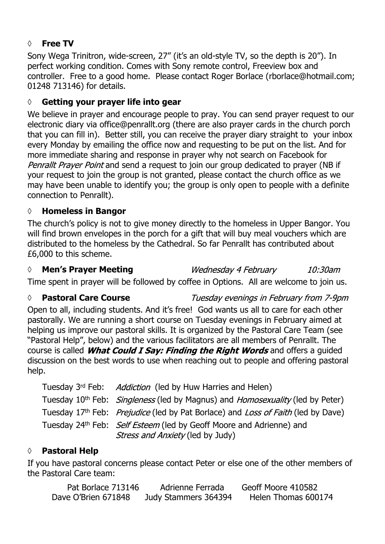#### **◊ Free TV**

Sony Wega Trinitron, wide-screen, 27" (it's an old-style TV, so the depth is 20"). In perfect working condition. Comes with Sony remote control, Freeview box and controller. Free to a good home. Please contact Roger Borlace (rborlace@hotmail.com; 01248 713146) for details.

#### **◊ Getting your prayer life into gear**

We believe in prayer and encourage people to pray. You can send prayer request to our electronic diary via office@penrallt.org (there are also prayer cards in the church porch that you can fill in). Better still, you can receive the prayer diary straight to your inbox every Monday by emailing the office now and requesting to be put on the list. And for more immediate sharing and response in prayer why not search on Facebook for Penrallt Prayer Point and send a request to join our group dedicated to prayer (NB if your request to join the group is not granted, please contact the church office as we may have been unable to identify you; the group is only open to people with a definite connection to Penrallt).

#### **◊ Homeless in Bangor**

The church's policy is not to give money directly to the homeless in Upper Bangor. You will find brown envelopes in the porch for a gift that will buy meal vouchers which are distributed to the homeless by the Cathedral. So far Penrallt has contributed about £6,000 to this scheme.

#### *◊* **Men's Prayer Meeting**

Wednesday 4 February

10:30am

Time spent in prayer will be followed by coffee in Options. All are welcome to join us.

#### *◊* **Pastoral Care Course**

Tuesday evenings in February from 7-9pm

Open to all, including students. And it's free! God wants us all to care for each other pastorally. We are running a short course on Tuesday evenings in February aimed at helping us improve our pastoral skills. It is organized by the Pastoral Care Team (see "Pastoral Help", below) and the various facilitators are all members of Penrallt. The course is called *What Could I Say: Finding the Right Words* and offers a guided discussion on the best words to use when reaching out to people and offering pastoral help.

| Tuesday 3rd Feb: Addiction (led by Huw Harries and Helen)                                                  |
|------------------------------------------------------------------------------------------------------------|
| Tuesday 10 <sup>th</sup> Feb: <i>Singleness</i> (led by Magnus) and <i>Homosexuality</i> (led by Peter)    |
| Tuesday 17 <sup>th</sup> Feb: <i>Prejudice</i> (led by Pat Borlace) and <i>Loss of Faith</i> (led by Dave) |
| Tuesday 24 <sup>th</sup> Feb: <i>Self Esteem</i> (led by Geoff Moore and Adrienne) and                     |
| Stress and Anxiety (led by Judy)                                                                           |

### **◊ Pastoral Help**

If you have pastoral concerns please contact Peter or else one of the other members of the Pastoral Care team:

| Pat Borlace 713146  | Adrienne Ferrada     | Geoff Moore 410582  |
|---------------------|----------------------|---------------------|
| Dave O'Brien 671848 | Judy Stammers 364394 | Helen Thomas 600174 |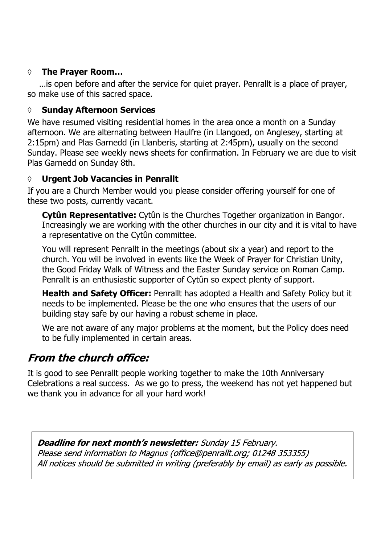#### **◊ The Prayer Room…**

…is open before and after the service for quiet prayer. Penrallt is a place of prayer, so make use of this sacred space.

#### **◊ Sunday Afternoon Services**

We have resumed visiting residential homes in the area once a month on a Sunday afternoon. We are alternating between Haulfre (in Llangoed, on Anglesey, starting at 2:15pm) and Plas Garnedd (in Llanberis, starting at 2:45pm), usually on the second Sunday. Please see weekly news sheets for confirmation. In February we are due to visit Plas Garnedd on Sunday 8th.

### **◊ Urgent Job Vacancies in Penrallt**

If you are a Church Member would you please consider offering yourself for one of these two posts, currently vacant.

**Cytûn Representative:** Cytûn is the Churches Together organization in Bangor. Increasingly we are working with the other churches in our city and it is vital to have a representative on the Cytûn committee.

You will represent Penrallt in the meetings (about six a year) and report to the church. You will be involved in events like the Week of Prayer for Christian Unity, the Good Friday Walk of Witness and the Easter Sunday service on Roman Camp. Penrallt is an enthusiastic supporter of Cytûn so expect plenty of support.

**Health and Safety Officer:** Penrallt has adopted a Health and Safety Policy but it needs to be implemented. Please be the one who ensures that the users of our building stay safe by our having a robust scheme in place.

We are not aware of any major problems at the moment, but the Policy does need to be fully implemented in certain areas.

## **From the church office:**

It is good to see Penrallt people working together to make the 10th Anniversary Celebrations a real success. As we go to press, the weekend has not yet happened but we thank you in advance for all your hard work!

**Deadline for next month's newsletter:** Sunday 15 February. Please send information to Magnus (office@penrallt.org; 01248 353355) All notices should be submitted in writing (preferably by email) as early as possible.